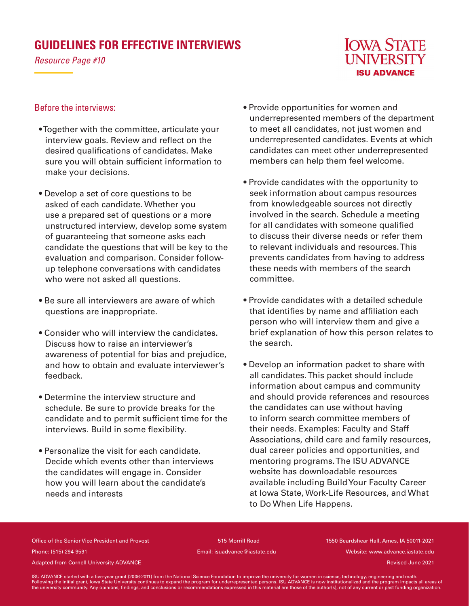## **GUIDELINES FOR EFFECTIVE INTERVIEWS**

*Resource Page #10*



## Before the interviews:

- Together with the committee, articulate your interview goals. Review and reflect on the desired qualifications of candidates. Make sure you will obtain sufficient information to make your decisions.
- Develop a set of core questions to be asked of each candidate. Whether you use a prepared set of questions or a more unstructured interview, develop some system of guaranteeing that someone asks each candidate the questions that will be key to the evaluation and comparison. Consider followup telephone conversations with candidates who were not asked all questions.
- Be sure all interviewers are aware of which questions are inappropriate.
- Consider who will interview the candidates. Discuss how to raise an interviewer's awareness of potential for bias and prejudice, and how to obtain and evaluate interviewer's feedback.
- Determine the interview structure and schedule. Be sure to provide breaks for the candidate and to permit sufficient time for the interviews. Build in some flexibility.
- Personalize the visit for each candidate. Decide which events other than interviews the candidates will engage in. Consider how you will learn about the candidate's needs and interests
- Provide opportunities for women and underrepresented members of the department to meet all candidates, not just women and underrepresented candidates. Events at which candidates can meet other underrepresented members can help them feel welcome.
- Provide candidates with the opportunity to seek information about campus resources from knowledgeable sources not directly involved in the search. Schedule a meeting for all candidates with someone qualified to discuss their diverse needs or refer them to relevant individuals and resources. This prevents candidates from having to address these needs with members of the search committee.
- Provide candidates with a detailed schedule that identifies by name and affiliation each person who will interview them and give a brief explanation of how this person relates to the search.
- Develop an information packet to share with all candidates. This packet should include information about campus and community and should provide references and resources the candidates can use without having to inform search committee members of their needs. Examples: Faculty and Staff Associations, child care and family resources, dual career policies and opportunities, and mentoring programs. The ISU ADVANCE website has downloadable resources available including Build Your Faculty Career at Iowa State, Work-Life Resources, and What to Do When Life Happens.

Office of the Senior Vice President and Provost 515 Morrill Road 1550 Beardshear Hall, Ames, IA 50011-2021 Phone: (515) 294-9591 Email: isuadvance@iastate.edu Website: www.advance.iastate.edu

Adapted from Cornell University ADVANCE and the cornell of the cornell of the cornell University ADVANCE and the cornell of the cornell University ADVANCE and the cornell of the cornell of the cornell of the cornell of the

ISU ADVANCE started with a five-year grant (2006-2011) from the National Science Foundation to improve the university for women in science, technology, engineering and math.<br>Following the initial grant, lowa State Universi the university community. Any opinions, findings, and conclusions or recommendations expressed in this material are those of the author(s), not of any current or past funding organization.